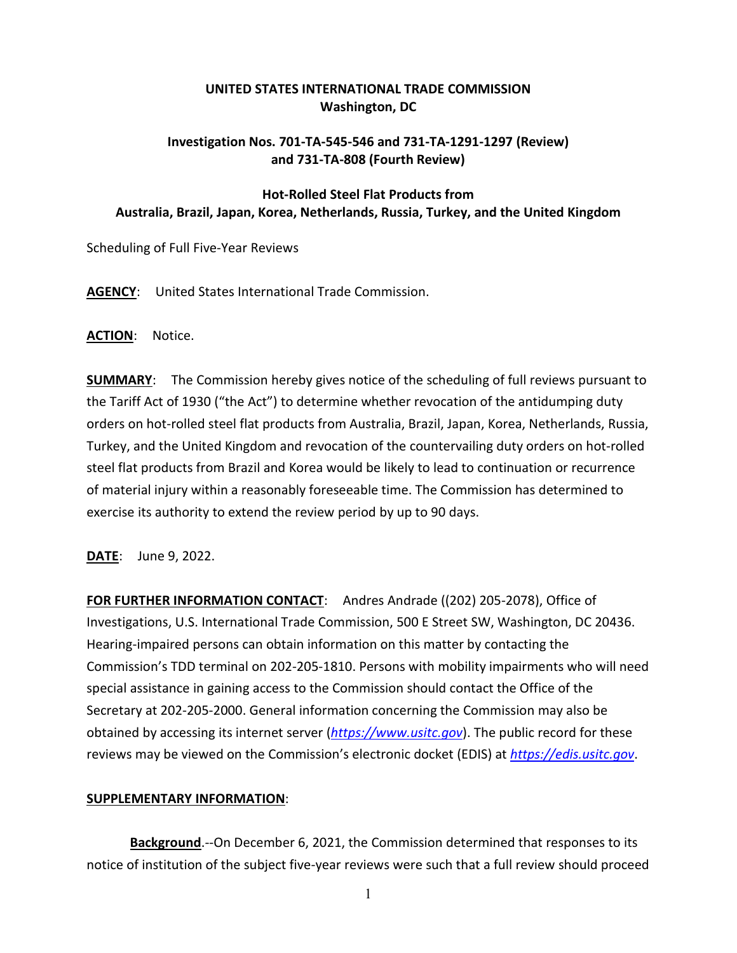## **UNITED STATES INTERNATIONAL TRADE COMMISSION Washington, DC**

## **Investigation Nos. 701-TA-545-546 and 731-TA-1291-1297 (Review) and 731-TA-808 (Fourth Review)**

## **Hot-Rolled Steel Flat Products from Australia, Brazil, Japan, Korea, Netherlands, Russia, Turkey, and the United Kingdom**

Scheduling of Full Five-Year Reviews

**AGENCY**: United States International Trade Commission.

**ACTION**: Notice.

**SUMMARY**: The Commission hereby gives notice of the scheduling of full reviews pursuant to the Tariff Act of 1930 ("the Act") to determine whether revocation of the antidumping duty orders on hot-rolled steel flat products from Australia, Brazil, Japan, Korea, Netherlands, Russia, Turkey, and the United Kingdom and revocation of the countervailing duty orders on hot-rolled steel flat products from Brazil and Korea would be likely to lead to continuation or recurrence of material injury within a reasonably foreseeable time. The Commission has determined to exercise its authority to extend the review period by up to 90 days.

**DATE**: June 9, 2022.

**FOR FURTHER INFORMATION CONTACT**: Andres Andrade ((202) 205-2078), Office of Investigations, U.S. International Trade Commission, 500 E Street SW, Washington, DC 20436. Hearing-impaired persons can obtain information on this matter by contacting the Commission's TDD terminal on 202-205-1810. Persons with mobility impairments who will need special assistance in gaining access to the Commission should contact the Office of the Secretary at 202-205-2000. General information concerning the Commission may also be obtained by accessing its internet server (*[https://www.usitc.gov](https://www.usitc.gov/)*). The public record for these reviews may be viewed on the Commission's electronic docket (EDIS) at *[https://edis.usitc.gov](https://edis.usitc.gov/)*.

## **SUPPLEMENTARY INFORMATION**:

**Background**.--On December 6, 2021, the Commission determined that responses to its notice of institution of the subject five-year reviews were such that a full review should proceed

1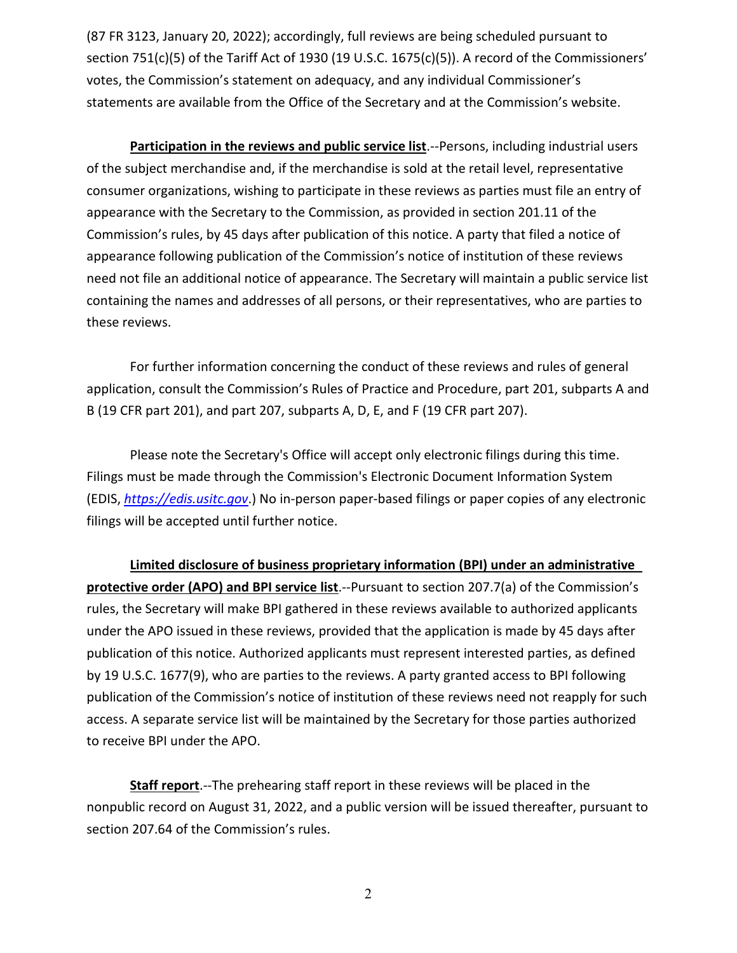(87 FR 3123, January 20, 2022); accordingly, full reviews are being scheduled pursuant to section 751(c)(5) of the Tariff Act of 1930 (19 U.S.C. 1675(c)(5)). A record of the Commissioners' votes, the Commission's statement on adequacy, and any individual Commissioner's statements are available from the Office of the Secretary and at the Commission's website.

**Participation in the reviews and public service list**.--Persons, including industrial users of the subject merchandise and, if the merchandise is sold at the retail level, representative consumer organizations, wishing to participate in these reviews as parties must file an entry of appearance with the Secretary to the Commission, as provided in section 201.11 of the Commission's rules, by 45 days after publication of this notice. A party that filed a notice of appearance following publication of the Commission's notice of institution of these reviews need not file an additional notice of appearance. The Secretary will maintain a public service list containing the names and addresses of all persons, or their representatives, who are parties to these reviews.

For further information concerning the conduct of these reviews and rules of general application, consult the Commission's Rules of Practice and Procedure, part 201, subparts A and B (19 CFR part 201), and part 207, subparts A, D, E, and F (19 CFR part 207).

Please note the Secretary's Office will accept only electronic filings during this time. Filings must be made through the Commission's Electronic Document Information System (EDIS, *[https://edis.usitc.gov](https://edis.usitc.gov/)*.) No in-person paper-based filings or paper copies of any electronic filings will be accepted until further notice.

**Limited disclosure of business proprietary information (BPI) under an administrative protective order (APO) and BPI service list**.--Pursuant to section 207.7(a) of the Commission's rules, the Secretary will make BPI gathered in these reviews available to authorized applicants under the APO issued in these reviews, provided that the application is made by 45 days after publication of this notice. Authorized applicants must represent interested parties, as defined by 19 U.S.C. 1677(9), who are parties to the reviews. A party granted access to BPI following publication of the Commission's notice of institution of these reviews need not reapply for such access. A separate service list will be maintained by the Secretary for those parties authorized to receive BPI under the APO.

**Staff report**.--The prehearing staff report in these reviews will be placed in the nonpublic record on August 31, 2022, and a public version will be issued thereafter, pursuant to section 207.64 of the Commission's rules.

2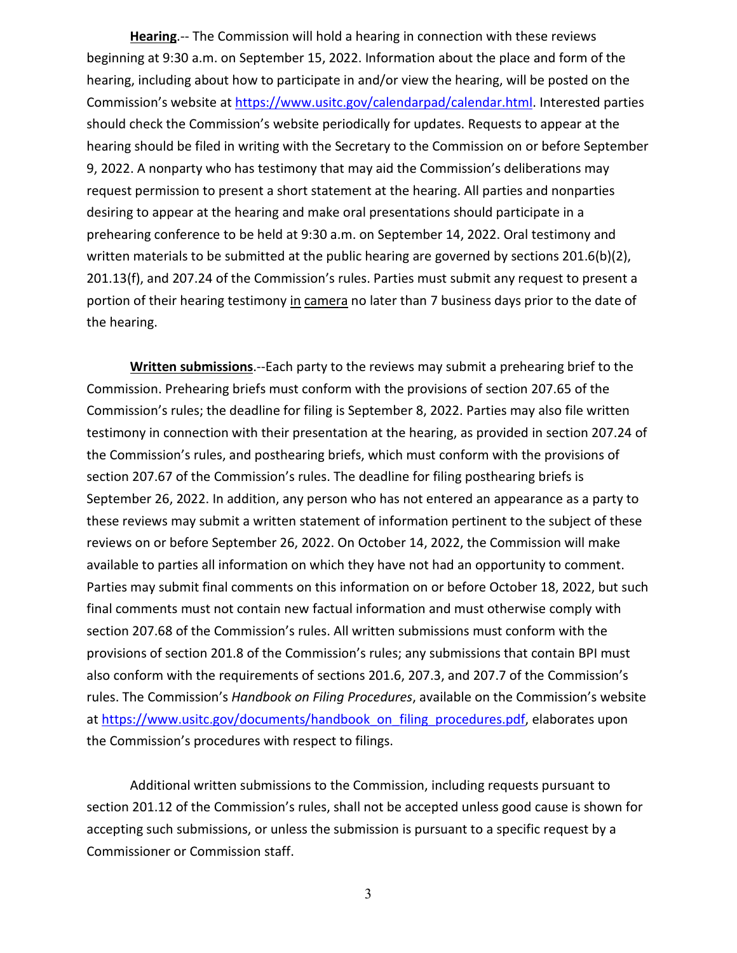**Hearing**.-- The Commission will hold a hearing in connection with these reviews beginning at 9:30 a.m. on September 15, 2022. Information about the place and form of the hearing, including about how to participate in and/or view the hearing, will be posted on the Commission's website at [https://www.usitc.gov/calendarpad/calendar.html.](https://www.usitc.gov/calendarpad/calendar.html) Interested parties should check the Commission's website periodically for updates. Requests to appear at the hearing should be filed in writing with the Secretary to the Commission on or before September 9, 2022. A nonparty who has testimony that may aid the Commission's deliberations may request permission to present a short statement at the hearing. All parties and nonparties desiring to appear at the hearing and make oral presentations should participate in a prehearing conference to be held at 9:30 a.m. on September 14, 2022. Oral testimony and written materials to be submitted at the public hearing are governed by sections  $201.6(b)(2)$ , 201.13(f), and 207.24 of the Commission's rules. Parties must submit any request to present a portion of their hearing testimony in camera no later than 7 business days prior to the date of the hearing.

**Written submissions**.--Each party to the reviews may submit a prehearing brief to the Commission. Prehearing briefs must conform with the provisions of section 207.65 of the Commission's rules; the deadline for filing is September 8, 2022. Parties may also file written testimony in connection with their presentation at the hearing, as provided in section 207.24 of the Commission's rules, and posthearing briefs, which must conform with the provisions of section 207.67 of the Commission's rules. The deadline for filing posthearing briefs is September 26, 2022. In addition, any person who has not entered an appearance as a party to these reviews may submit a written statement of information pertinent to the subject of these reviews on or before September 26, 2022. On October 14, 2022, the Commission will make available to parties all information on which they have not had an opportunity to comment. Parties may submit final comments on this information on or before October 18, 2022, but such final comments must not contain new factual information and must otherwise comply with section 207.68 of the Commission's rules. All written submissions must conform with the provisions of section 201.8 of the Commission's rules; any submissions that contain BPI must also conform with the requirements of sections 201.6, 207.3, and 207.7 of the Commission's rules. The Commission's *Handbook on Filing Procedures*, available on the Commission's website at [https://www.usitc.gov/documents/handbook\\_on\\_filing\\_procedures.pdf,](https://www.usitc.gov/documents/handbook_on_filing_procedures.pdf) elaborates upon the Commission's procedures with respect to filings.

Additional written submissions to the Commission, including requests pursuant to section 201.12 of the Commission's rules, shall not be accepted unless good cause is shown for accepting such submissions, or unless the submission is pursuant to a specific request by a Commissioner or Commission staff.

3